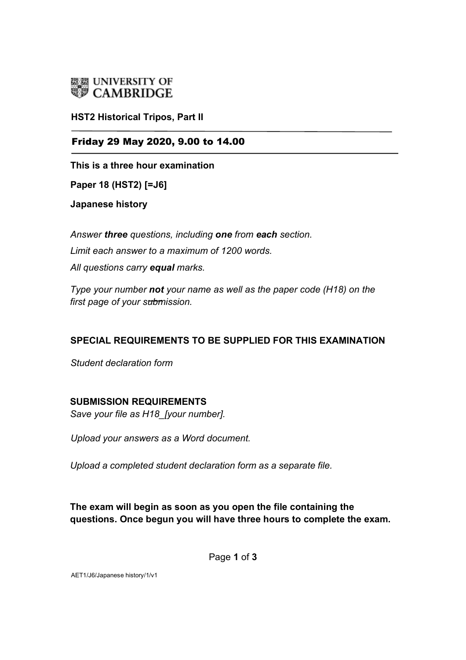

**HST2 Historical Tripos, Part II**

#### Friday 29 May 2020, 9.00 to 14.00

**This is a three hour examination**

**Paper 18 (HST2) [=J6]**

**Japanese history** 

*Answer three questions, including one from each section. Limit each answer to a maximum of 1200 words. All questions carry equal marks.* 

*Type your number not your name as well as the paper code (H18) on the first page of your submission.* 

### **SPECIAL REQUIREMENTS TO BE SUPPLIED FOR THIS EXAMINATION**

*Student declaration form*

#### **SUBMISSION REQUIREMENTS**

*Save your file as H18\_[your number].* 

*Upload your answers as a Word document.*

*Upload a completed student declaration form as a separate file.*

## **The exam will begin as soon as you open the file containing the questions. Once begun you will have three hours to complete the exam.**

Page **1** of **3** 

AET1/J6/Japanese history/1/v1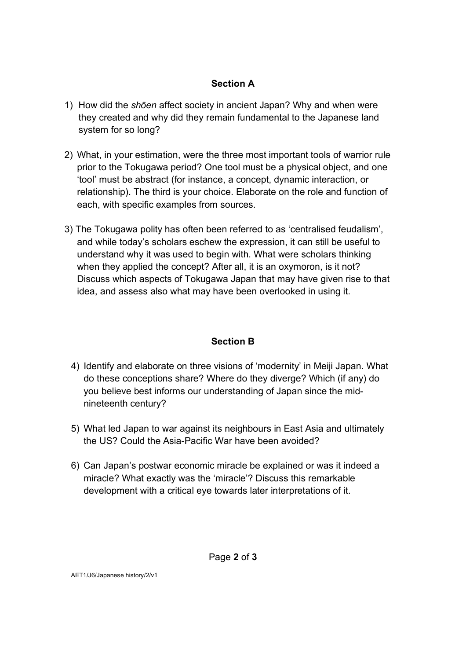### **Section A**

- 1) How did the *shōen* affect society in ancient Japan? Why and when were they created and why did they remain fundamental to the Japanese land system for so long?
- 2) What, in your estimation, were the three most important tools of warrior rule prior to the Tokugawa period? One tool must be a physical object, and one 'tool' must be abstract (for instance, a concept, dynamic interaction, or relationship). The third is your choice. Elaborate on the role and function of each, with specific examples from sources.
- 3) The Tokugawa polity has often been referred to as 'centralised feudalism', and while today's scholars eschew the expression, it can still be useful to understand why it was used to begin with. What were scholars thinking when they applied the concept? After all, it is an oxymoron, is it not? Discuss which aspects of Tokugawa Japan that may have given rise to that idea, and assess also what may have been overlooked in using it.

### **Section B**

- 4) Identify and elaborate on three visions of 'modernity' in Meiji Japan. What do these conceptions share? Where do they diverge? Which (if any) do you believe best informs our understanding of Japan since the midnineteenth century?
- 5) What led Japan to war against its neighbours in East Asia and ultimately the US? Could the Asia-Pacific War have been avoided?
- 6) Can Japan's postwar economic miracle be explained or was it indeed a miracle? What exactly was the 'miracle'? Discuss this remarkable development with a critical eye towards later interpretations of it.